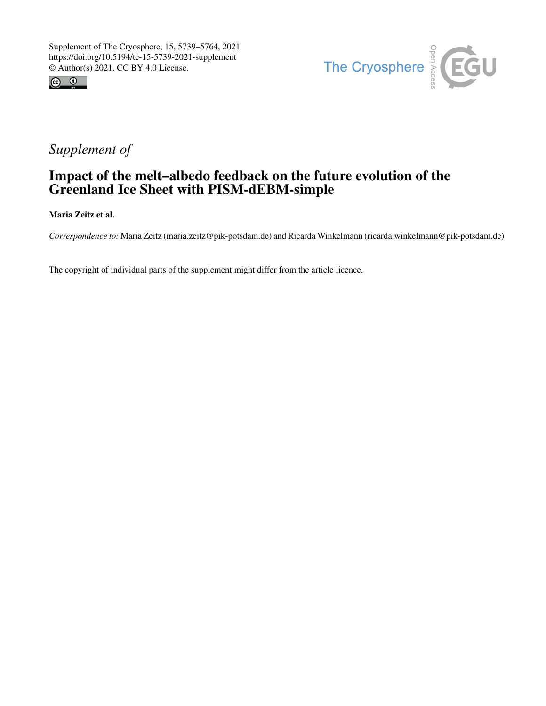



## *Supplement of*

## Impact of the melt–albedo feedback on the future evolution of the Greenland Ice Sheet with PISM-dEBM-simple

Maria Zeitz et al.

*Correspondence to:* Maria Zeitz (maria.zeitz@pik-potsdam.de) and Ricarda Winkelmann (ricarda.winkelmann@pik-potsdam.de)

The copyright of individual parts of the supplement might differ from the article licence.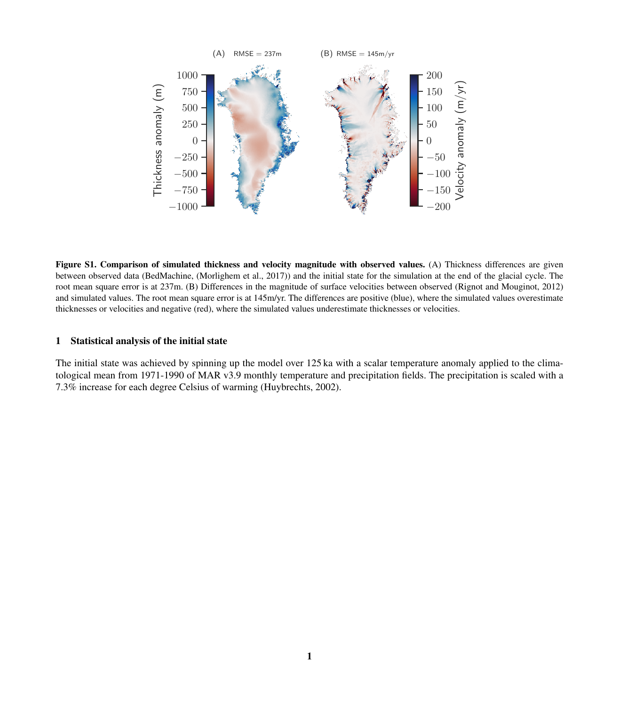

Figure S1. Comparison of simulated thickness and velocity magnitude with observed values. (A) Thickness differences are given between observed data (BedMachine, [\(Morlighem et al., 2017\)](#page-2-0)) and the initial state for the simulation at the end of the glacial cycle. The root mean square error is at 237m. (B) Differences in the magnitude of surface velocities between observed [\(Rignot and Mouginot, 2012\)](#page-2-1) and simulated values. The root mean square error is at 145m/yr. The differences are positive (blue), where the simulated values overestimate thicknesses or velocities and negative (red), where the simulated values underestimate thicknesses or velocities.

## 1 Statistical analysis of the initial state

The initial state was achieved by spinning up the model over 125 ka with a scalar temperature anomaly applied to the climatological mean from 1971-1990 of MAR v3.9 monthly temperature and precipitation fields. The precipitation is scaled with a 7.3% increase for each degree Celsius of warming [\(Huybrechts, 2002\)](#page-2-2).